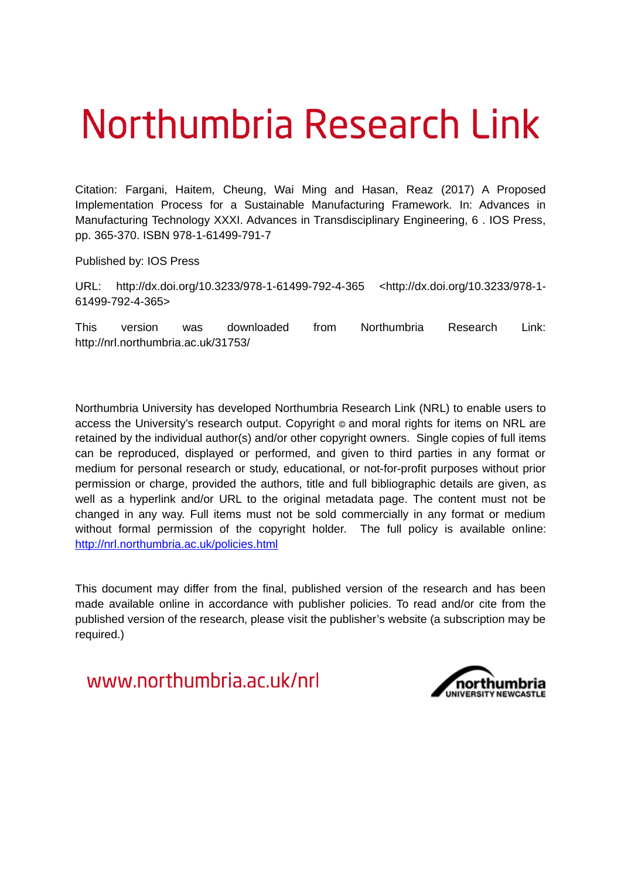# Northumbria Research Link

Citation: Fargani, Haitem, Cheung, Wai Ming and Hasan, Reaz (2017) A Proposed Implementation Process for a Sustainable Manufacturing Framework. In: Advances in Manufacturing Technology XXXI. Advances in Transdisciplinary Engineering, 6 . IOS Press, pp. 365-370. ISBN 978-1-61499-791-7

Published by: IOS Press

URL: http://dx.doi.org/10.3233/978-1-61499-792-4-365 <http://dx.doi.org/10.3233/978-1- 61499-792-4-365>

This version was downloaded from Northumbria Research Link: http://nrl.northumbria.ac.uk/31753/

Northumbria University has developed Northumbria Research Link (NRL) to enable users to access the University's research output. Copyright  $\circ$  and moral rights for items on NRL are retained by the individual author(s) and/or other copyright owners. Single copies of full items can be reproduced, displayed or performed, and given to third parties in any format or medium for personal research or study, educational, or not-for-profit purposes without prior permission or charge, provided the authors, title and full bibliographic details are given, as well as a hyperlink and/or URL to the original metadata page. The content must not be changed in any way. Full items must not be sold commercially in any format or medium without formal permission of the copyright holder. The full policy is available online: <http://nrl.northumbria.ac.uk/policies.html>

This document may differ from the final, published version of the research and has been made available online in accordance with publisher policies. To read and/or cite from the published version of the research, please visit the publisher's website (a subscription may be required.)

www.northumbria.ac.uk/nrl

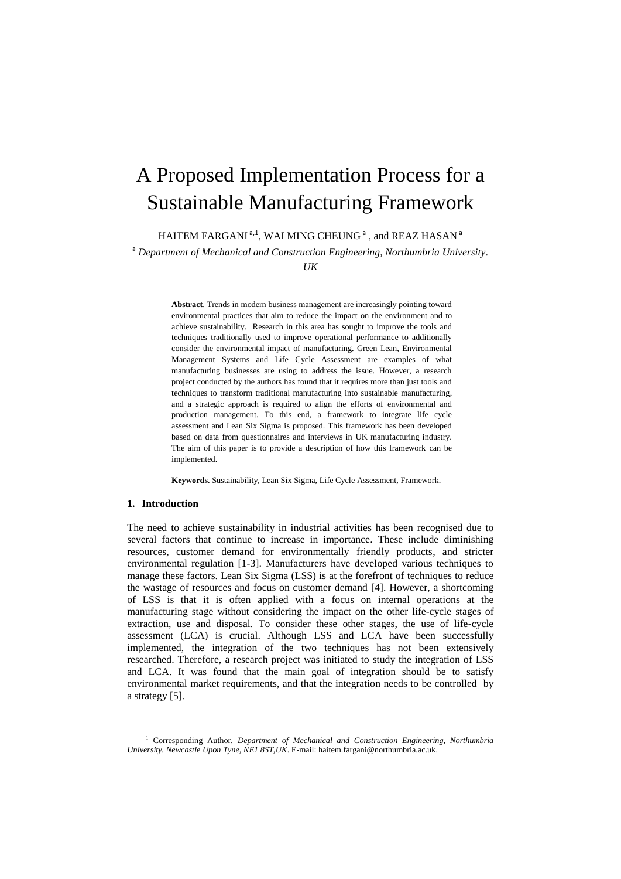# A Proposed Implementation Process for a Sustainable Manufacturing Framework

HAITEM FARGANI  $a,1$ , WAI MING CHEUNG  $^a$  , and REAZ HASAN  $^a$ 

<sup>a</sup> *Department of Mechanical and Construction Engineering, Northumbria University.* 

*UK*

**Abstract**. Trends in modern business management are increasingly pointing toward environmental practices that aim to reduce the impact on the environment and to achieve sustainability. Research in this area has sought to improve the tools and techniques traditionally used to improve operational performance to additionally consider the environmental impact of manufacturing. Green Lean, Environmental Management Systems and Life Cycle Assessment are examples of what manufacturing businesses are using to address the issue. However, a research project conducted by the authors has found that it requires more than just tools and techniques to transform traditional manufacturing into sustainable manufacturing, and a strategic approach is required to align the efforts of environmental and production management. To this end, a framework to integrate life cycle assessment and Lean Six Sigma is proposed. This framework has been developed based on data from questionnaires and interviews in UK manufacturing industry. The aim of this paper is to provide a description of how this framework can be implemented.

**Keywords**. Sustainability, Lean Six Sigma, Life Cycle Assessment, Framework.

# **1. Introduction**

**.** 

The need to achieve sustainability in industrial activities has been recognised due to several factors that continue to increase in importance. These include diminishing resources, customer demand for environmentally friendly products, and stricter environmental regulation [\[1-3\]](#page-6-0). Manufacturers have developed various techniques to manage these factors. Lean Six Sigma (LSS) is at the forefront of techniques to reduce the wastage of resources and focus on customer demand [\[4\]](#page-6-1). However, a shortcoming of LSS is that it is often applied with a focus on internal operations at the manufacturing stage without considering the impact on the other life-cycle stages of extraction, use and disposal. To consider these other stages, the use of life-cycle assessment (LCA) is crucial. Although LSS and LCA have been successfully implemented, the integration of the two techniques has not been extensively researched. Therefore, a research project was initiated to study the integration of LSS and LCA. It was found that the main goal of integration should be to satisfy environmental market requirements, and that the integration needs to be controlled by a strategy [\[5\]](#page-6-2).

<sup>1</sup> Corresponding Author, *Department of Mechanical and Construction Engineering, Northumbria University. Newcastle Upon Tyne, NE1 8ST,UK*. E-mail: haitem.fargani@northumbria.ac.uk.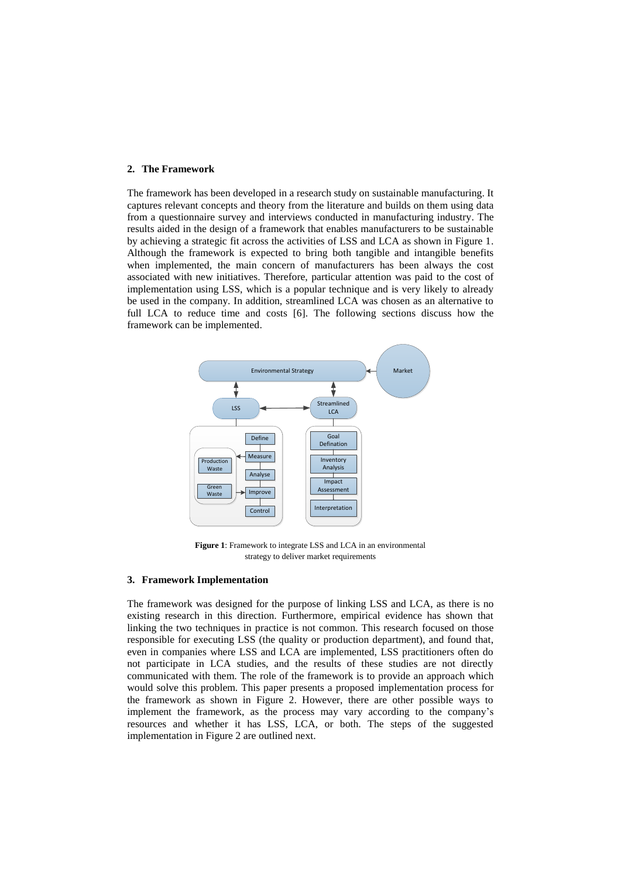#### **2. The Framework**

The framework has been developed in a research study on sustainable manufacturing. It captures relevant concepts and theory from the literature and builds on them using data from a questionnaire survey and interviews conducted in manufacturing industry. The results aided in the design of a framework that enables manufacturers to be sustainable by achieving a strategic fit across the activities of LSS and LCA as shown in Figure 1. Although the framework is expected to bring both tangible and intangible benefits when implemented, the main concern of manufacturers has been always the cost associated with new initiatives. Therefore, particular attention was paid to the cost of implementation using LSS, which is a popular technique and is very likely to already be used in the company. In addition, streamlined LCA was chosen as an alternative to full LCA to reduce time and costs [\[6\]](#page-6-3). The following sections discuss how the framework can be implemented.



**Figure 1**: Framework to integrate LSS and LCA in an environmental strategy to deliver market requirements

## **3. Framework Implementation**

The framework was designed for the purpose of linking LSS and LCA, as there is no existing research in this direction. Furthermore, empirical evidence has shown that linking the two techniques in practice is not common. This research focused on those responsible for executing LSS (the quality or production department), and found that, even in companies where LSS and LCA are implemented, LSS practitioners often do not participate in LCA studies, and the results of these studies are not directly communicated with them. The role of the framework is to provide an approach which would solve this problem. This paper presents a proposed implementation process for the framework as shown in Figure 2. However, there are other possible ways to implement the framework, as the process may vary according to the company's resources and whether it has LSS, LCA, or both. The steps of the suggested implementation in Figure 2 are outlined next.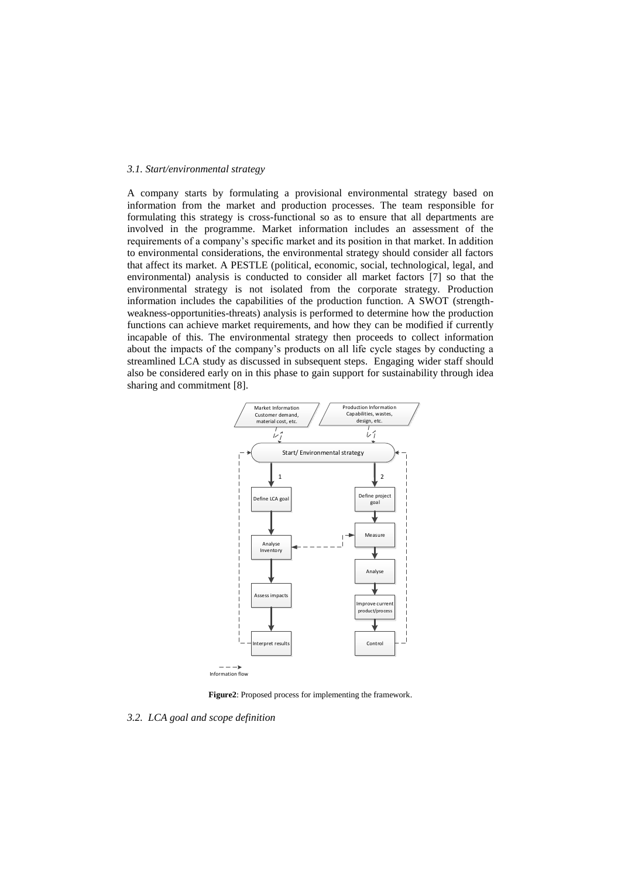## *3.1. Start/environmental strategy*

A company starts by formulating a provisional environmental strategy based on information from the market and production processes. The team responsible for formulating this strategy is cross-functional so as to ensure that all departments are involved in the programme. Market information includes an assessment of the requirements of a company's specific market and its position in that market. In addition to environmental considerations, the environmental strategy should consider all factors that affect its market. A PESTLE (political, economic, social, technological, legal, and environmental) analysis is conducted to consider all market factors [\[7\]](#page-6-4) so that the environmental strategy is not isolated from the corporate strategy. Production information includes the capabilities of the production function. A SWOT (strengthweakness-opportunities-threats) analysis is performed to determine how the production functions can achieve market requirements, and how they can be modified if currently incapable of this. The environmental strategy then proceeds to collect information about the impacts of the company's products on all life cycle stages by conducting a streamlined LCA study as discussed in subsequent steps. Engaging wider staff should also be considered early on in this phase to gain support for sustainability through idea sharing and commitment [\[8\]](#page-6-5).



Information flow

**Figure2**: Proposed process for implementing the framework.

*3.2. LCA goal and scope definition*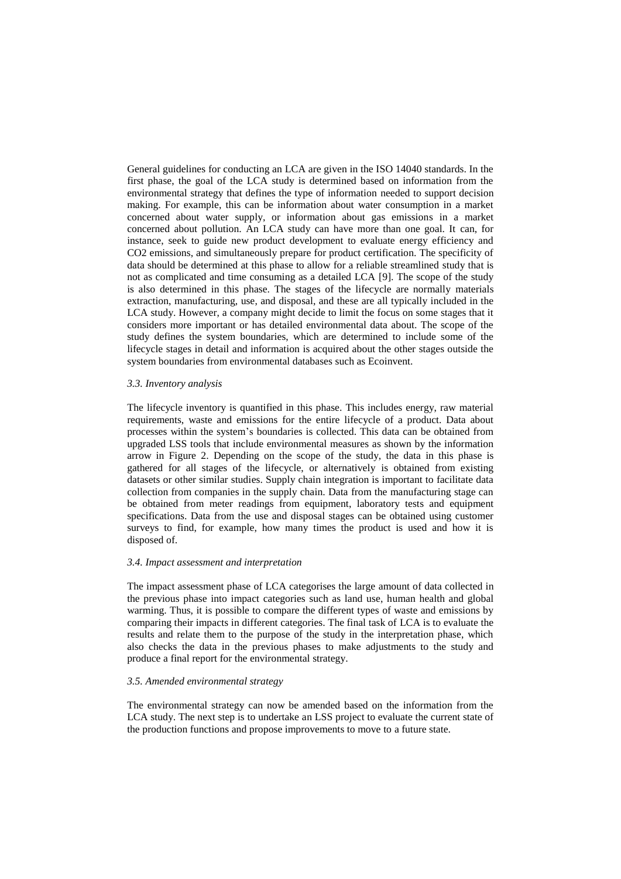General guidelines for conducting an LCA are given in the ISO 14040 standards. In the first phase, the goal of the LCA study is determined based on information from the environmental strategy that defines the type of information needed to support decision making. For example, this can be information about water consumption in a market concerned about water supply, or information about gas emissions in a market concerned about pollution. An LCA study can have more than one goal. It can, for instance, seek to guide new product development to evaluate energy efficiency and CO2 emissions, and simultaneously prepare for product certification. The specificity of data should be determined at this phase to allow for a reliable streamlined study that is not as complicated and time consuming as a detailed LCA [\[9\]](#page-6-6). The scope of the study is also determined in this phase. The stages of the lifecycle are normally materials extraction, manufacturing, use, and disposal, and these are all typically included in the LCA study. However, a company might decide to limit the focus on some stages that it considers more important or has detailed environmental data about. The scope of the study defines the system boundaries, which are determined to include some of the lifecycle stages in detail and information is acquired about the other stages outside the system boundaries from environmental databases such as Ecoinvent.

# *3.3. Inventory analysis*

The lifecycle inventory is quantified in this phase. This includes energy, raw material requirements, waste and emissions for the entire lifecycle of a product. Data about processes within the system's boundaries is collected. This data can be obtained from upgraded LSS tools that include environmental measures as shown by the information arrow in Figure 2. Depending on the scope of the study, the data in this phase is gathered for all stages of the lifecycle, or alternatively is obtained from existing datasets or other similar studies. Supply chain integration is important to facilitate data collection from companies in the supply chain. Data from the manufacturing stage can be obtained from meter readings from equipment, laboratory tests and equipment specifications. Data from the use and disposal stages can be obtained using customer surveys to find, for example, how many times the product is used and how it is disposed of.

#### *3.4. Impact assessment and interpretation*

The impact assessment phase of LCA categorises the large amount of data collected in the previous phase into impact categories such as land use, human health and global warming. Thus, it is possible to compare the different types of waste and emissions by comparing their impacts in different categories. The final task of LCA is to evaluate the results and relate them to the purpose of the study in the interpretation phase, which also checks the data in the previous phases to make adjustments to the study and produce a final report for the environmental strategy.

## *3.5. Amended environmental strategy*

The environmental strategy can now be amended based on the information from the LCA study. The next step is to undertake an LSS project to evaluate the current state of the production functions and propose improvements to move to a future state.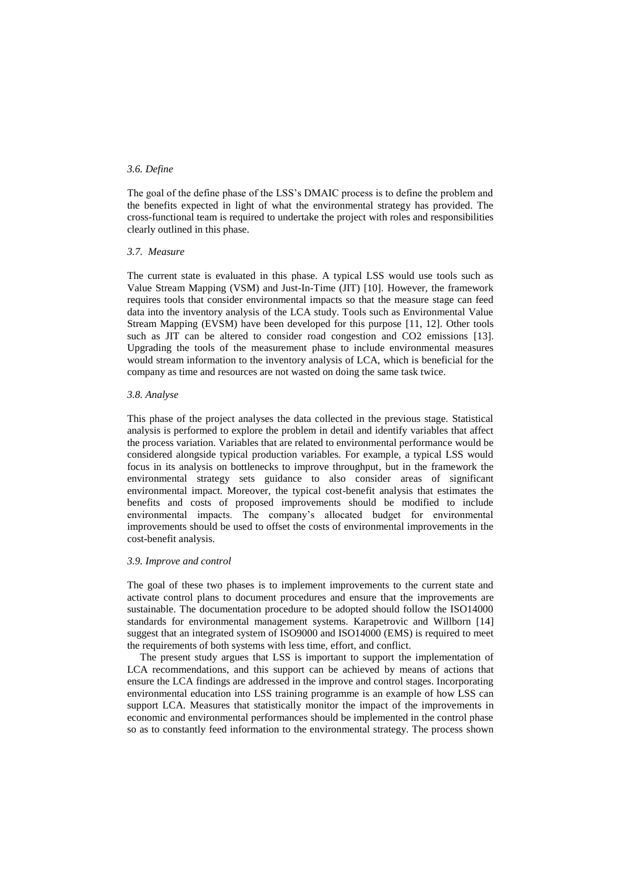# *3.6. Define*

The goal of the define phase of the LSS's DMAIC process is to define the problem and the benefits expected in light of what the environmental strategy has provided. The cross-functional team is required to undertake the project with roles and responsibilities clearly outlined in this phase.

## *3.7. Measure*

The current state is evaluated in this phase. A typical LSS would use tools such as Value Stream Mapping (VSM) and Just-In-Time (JIT) [\[10\]](#page-6-7). However, the framework requires tools that consider environmental impacts so that the measure stage can feed data into the inventory analysis of the LCA study. Tools such as Environmental Value Stream Mapping (EVSM) have been developed for this purpose [\[11,](#page-6-8) [12\]](#page-6-9). Other tools such as JIT can be altered to consider road congestion and CO2 emissions [\[13\]](#page-6-10). Upgrading the tools of the measurement phase to include environmental measures would stream information to the inventory analysis of LCA, which is beneficial for the company as time and resources are not wasted on doing the same task twice.

#### *3.8. Analyse*

This phase of the project analyses the data collected in the previous stage. Statistical analysis is performed to explore the problem in detail and identify variables that affect the process variation. Variables that are related to environmental performance would be considered alongside typical production variables. For example, a typical LSS would focus in its analysis on bottlenecks to improve throughput, but in the framework the environmental strategy sets guidance to also consider areas of significant environmental impact. Moreover, the typical cost-benefit analysis that estimates the benefits and costs of proposed improvements should be modified to include environmental impacts. The company's allocated budget for environmental improvements should be used to offset the costs of environmental improvements in the cost-benefit analysis.

#### *3.9. Improve and control*

The goal of these two phases is to implement improvements to the current state and activate control plans to document procedures and ensure that the improvements are sustainable. The documentation procedure to be adopted should follow the ISO14000 standards for environmental management systems. [Karapetrovic and Willborn \[14\]](#page-6-11) suggest that an integrated system of ISO9000 and ISO14000 (EMS) is required to meet the requirements of both systems with less time, effort, and conflict.

 The present study argues that LSS is important to support the implementation of LCA recommendations, and this support can be achieved by means of actions that ensure the LCA findings are addressed in the improve and control stages. Incorporating environmental education into LSS training programme is an example of how LSS can support LCA. Measures that statistically monitor the impact of the improvements in economic and environmental performances should be implemented in the control phase so as to constantly feed information to the environmental strategy. The process shown